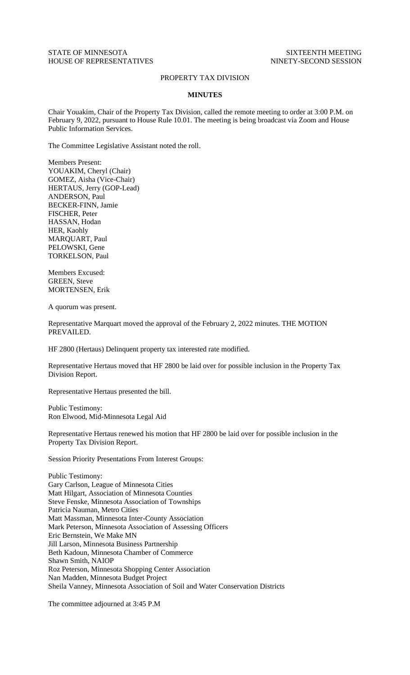## STATE OF MINNESOTA SIXTEENTH MEETING HOUSE OF REPRESENTATIVES NINETY-SECOND SESSION

## PROPERTY TAX DIVISION

## **MINUTES**

Chair Youakim, Chair of the Property Tax Division, called the remote meeting to order at 3:00 P.M. on February 9, 2022, pursuant to House Rule 10.01. The meeting is being broadcast via Zoom and House Public Information Services.

The Committee Legislative Assistant noted the roll.

Members Present: YOUAKIM, Cheryl (Chair) GOMEZ, Aisha (Vice-Chair) HERTAUS, Jerry (GOP-Lead) ANDERSON, Paul BECKER-FINN, Jamie FISCHER, Peter HASSAN, Hodan HER, Kaohly MARQUART, Paul PELOWSKI, Gene TORKELSON, Paul

Members Excused: GREEN, Steve MORTENSEN, Erik

A quorum was present.

Representative Marquart moved the approval of the February 2, 2022 minutes. THE MOTION PREVAILED.

HF 2800 (Hertaus) Delinquent property tax interested rate modified.

Representative Hertaus moved that HF 2800 be laid over for possible inclusion in the Property Tax Division Report.

Representative Hertaus presented the bill.

Public Testimony: Ron Elwood, Mid-Minnesota Legal Aid

Representative Hertaus renewed his motion that HF 2800 be laid over for possible inclusion in the Property Tax Division Report.

Session Priority Presentations From Interest Groups:

Public Testimony: Gary Carlson, League of Minnesota Cities Matt Hilgart, Association of Minnesota Counties Steve Fenske, Minnesota Association of Townships Patricia Nauman, Metro Cities Matt Massman, Minnesota Inter-County Association Mark Peterson, Minnesota Association of Assessing Officers Eric Bernstein, We Make MN Jill Larson, Minnesota Business Partnership Beth Kadoun, Minnesota Chamber of Commerce Shawn Smith, NAIOP Roz Peterson, Minnesota Shopping Center Association Nan Madden, Minnesota Budget Project Sheila Vanney, Minnesota Association of Soil and Water Conservation Districts

The committee adjourned at 3:45 P.M